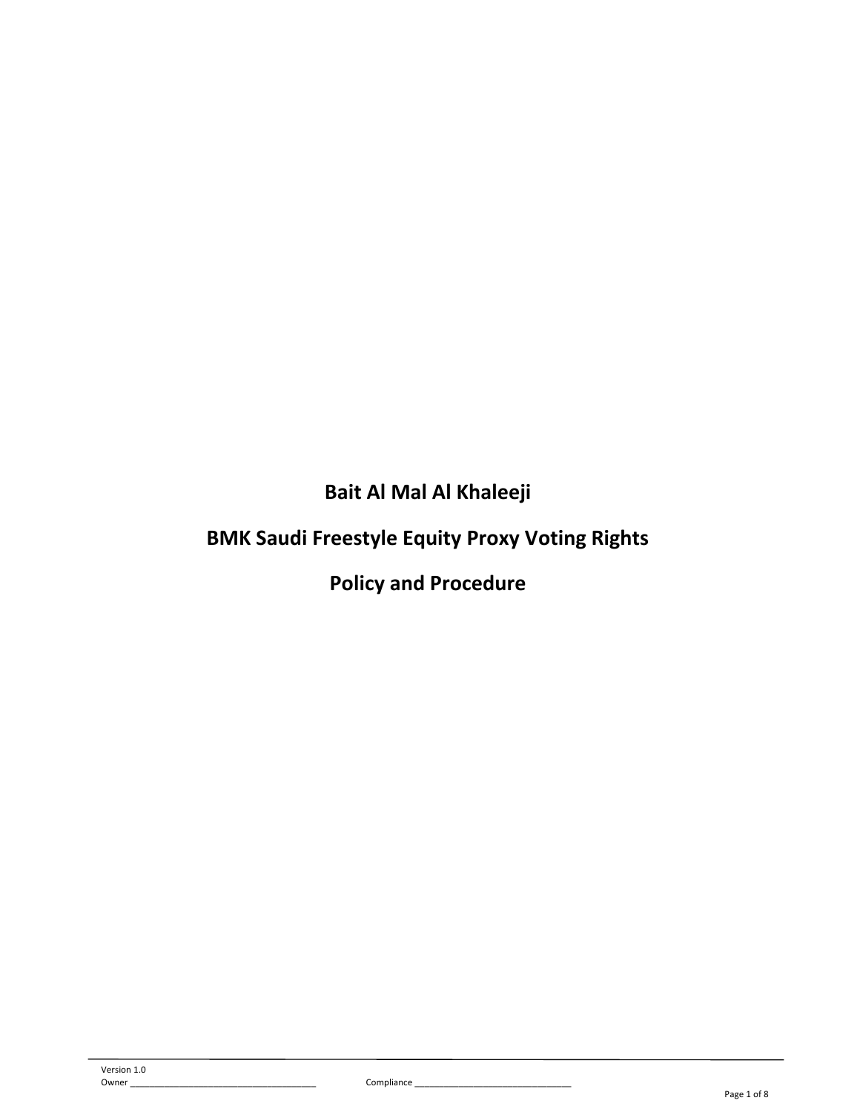**Bait Al Mal Al Khaleeji**

# **BMK Saudi Freestyle Equity Proxy Voting Rights**

**Policy and Procedure**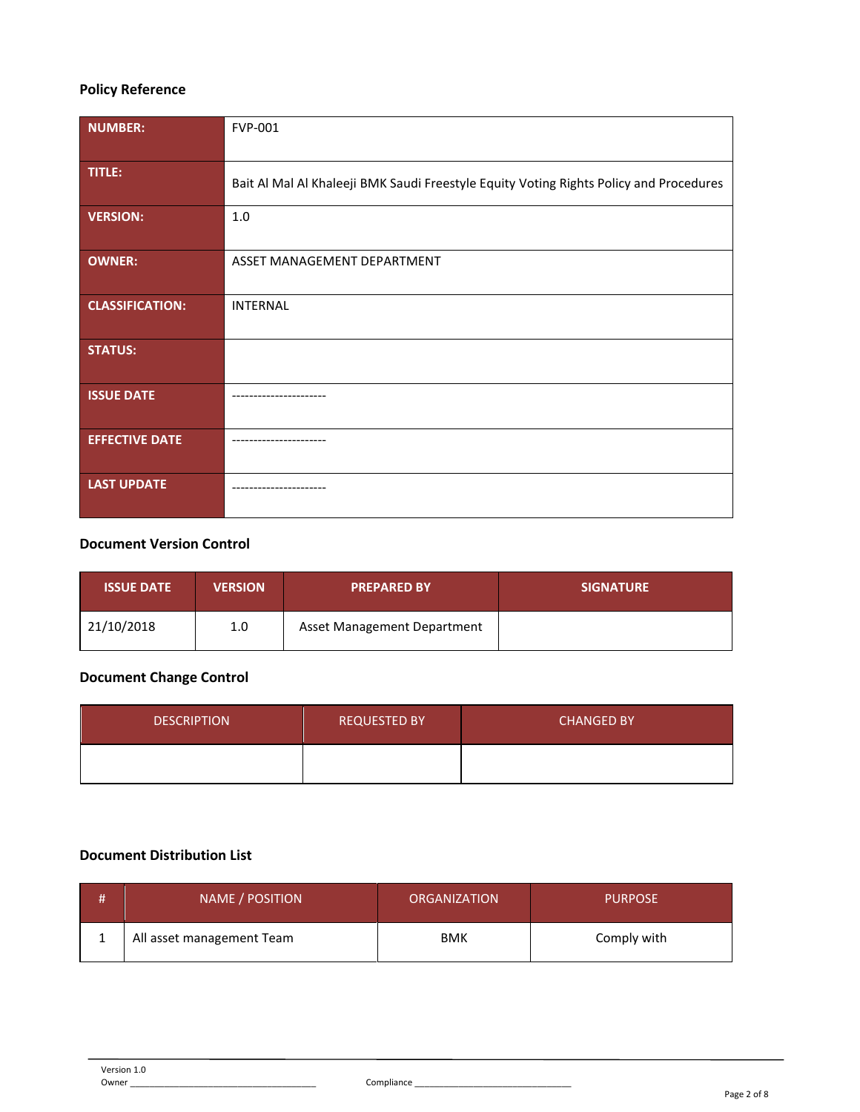# **Policy Reference**

| <b>NUMBER:</b>         | <b>FVP-001</b>                                                                         |
|------------------------|----------------------------------------------------------------------------------------|
| TITLE:                 | Bait Al Mal Al Khaleeji BMK Saudi Freestyle Equity Voting Rights Policy and Procedures |
| <b>VERSION:</b>        | 1.0                                                                                    |
| <b>OWNER:</b>          | ASSET MANAGEMENT DEPARTMENT                                                            |
| <b>CLASSIFICATION:</b> | <b>INTERNAL</b>                                                                        |
| <b>STATUS:</b>         |                                                                                        |
| <b>ISSUE DATE</b>      |                                                                                        |
| <b>EFFECTIVE DATE</b>  |                                                                                        |
| <b>LAST UPDATE</b>     |                                                                                        |

# **Document Version Control**

| <b>ISSUE DATE</b> | <b>VERSION</b> | <b>PREPARED BY</b>          | <b>SIGNATURE</b> |
|-------------------|----------------|-----------------------------|------------------|
| 21/10/2018        | 1.0            | Asset Management Department |                  |

# **Document Change Control**

| <b>DESCRIPTION</b> | <b>REQUESTED BY</b> | <b>CHANGED BY</b> |
|--------------------|---------------------|-------------------|
|                    |                     |                   |

# **Document Distribution List**

| NAME / POSITION           | <b>ORGANIZATION</b> | <b>PURPOSE</b> |
|---------------------------|---------------------|----------------|
| All asset management Team | <b>BMK</b>          | Comply with    |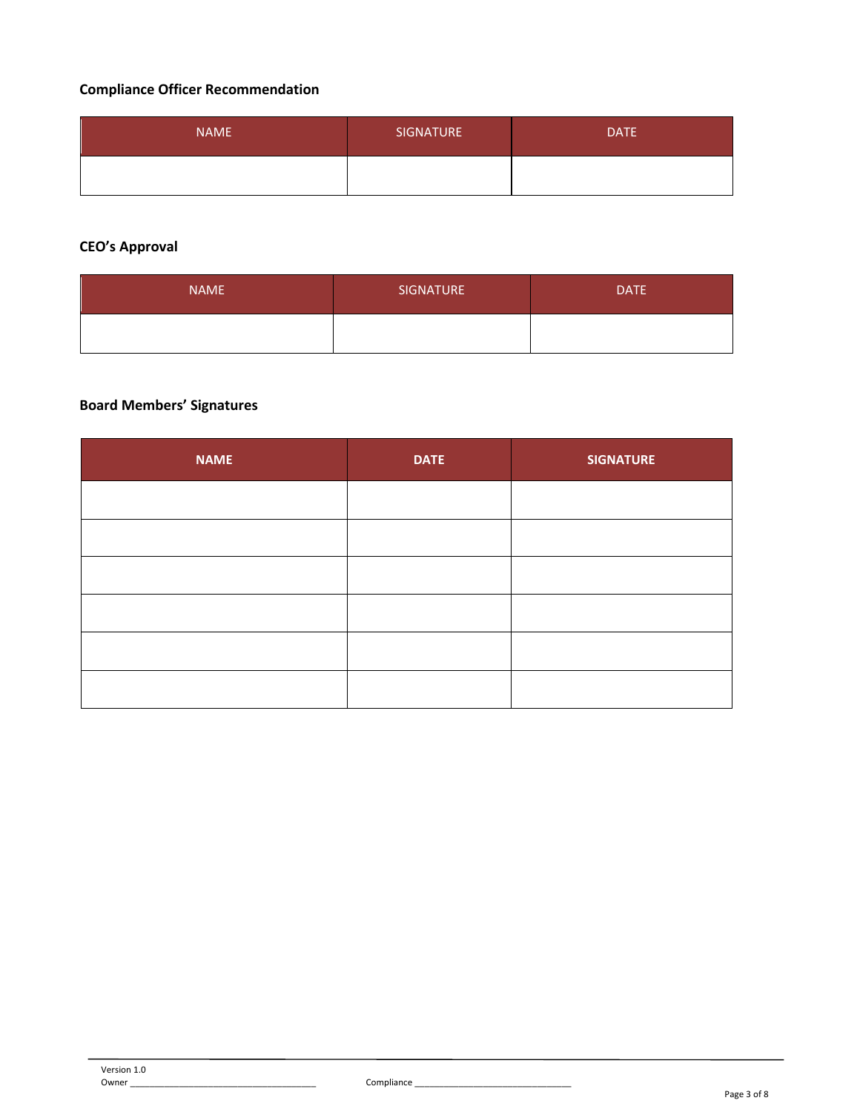# **Compliance Officer Recommendation**

| <b>NAME</b> | <b>SIGNATURE</b> | DATE <sup>1</sup> |
|-------------|------------------|-------------------|
|             |                  |                   |

# **CEO's Approval**

| <b>NAME</b> | SIGNATURE | <b>DATE</b> |
|-------------|-----------|-------------|
|             |           |             |

# **Board Members' Signatures**

| <b>NAME</b> | <b>DATE</b> | <b>SIGNATURE</b> |
|-------------|-------------|------------------|
|             |             |                  |
|             |             |                  |
|             |             |                  |
|             |             |                  |
|             |             |                  |
|             |             |                  |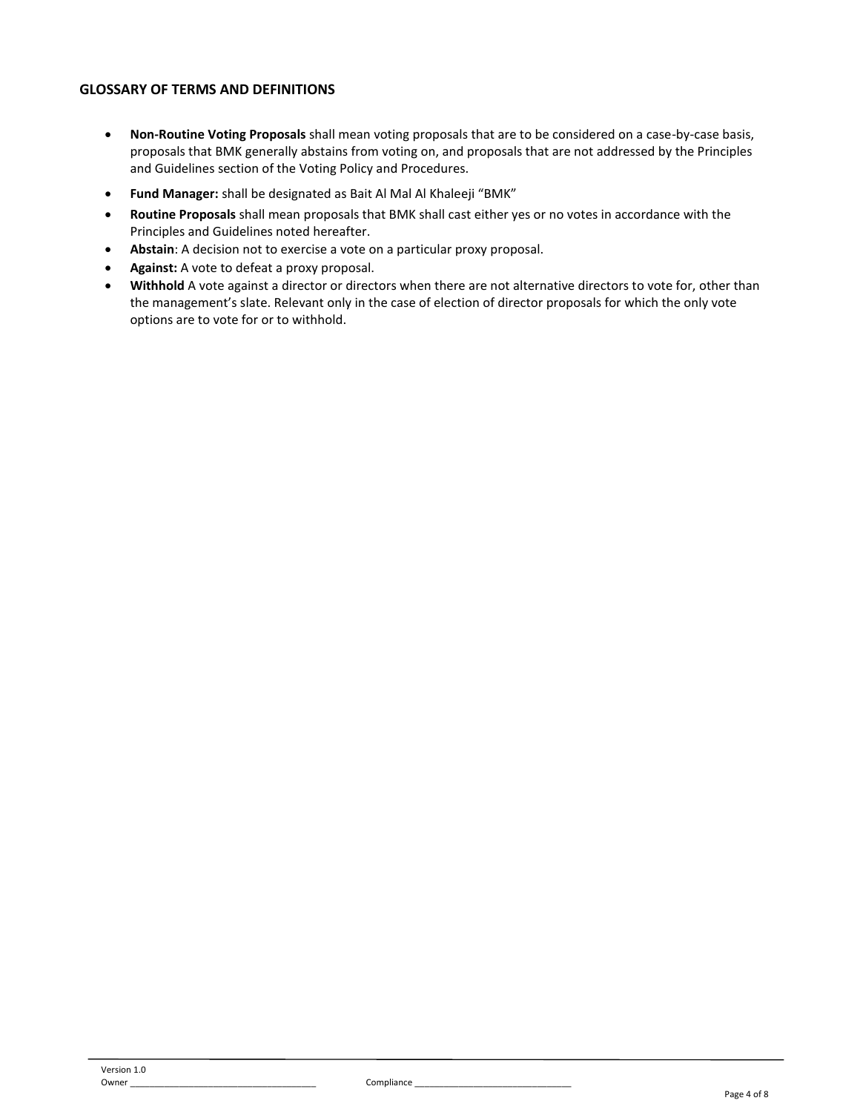### **GLOSSARY OF TERMS AND DEFINITIONS**

- **Non-Routine Voting Proposals** shall mean voting proposals that are to be considered on a case-by-case basis, proposals that BMK generally abstains from voting on, and proposals that are not addressed by the Principles and Guidelines section of the Voting Policy and Procedures.
- **Fund Manager:** shall be designated as Bait Al Mal Al Khaleeji "BMK"
- **Routine Proposals** shall mean proposals that BMK shall cast either yes or no votes in accordance with the Principles and Guidelines noted hereafter.
- **Abstain**: A decision not to exercise a vote on a particular proxy proposal.
- **Against:** A vote to defeat a proxy proposal.
- **Withhold** A vote against a director or directors when there are not alternative directors to vote for, other than the management's slate. Relevant only in the case of election of director proposals for which the only vote options are to vote for or to withhold.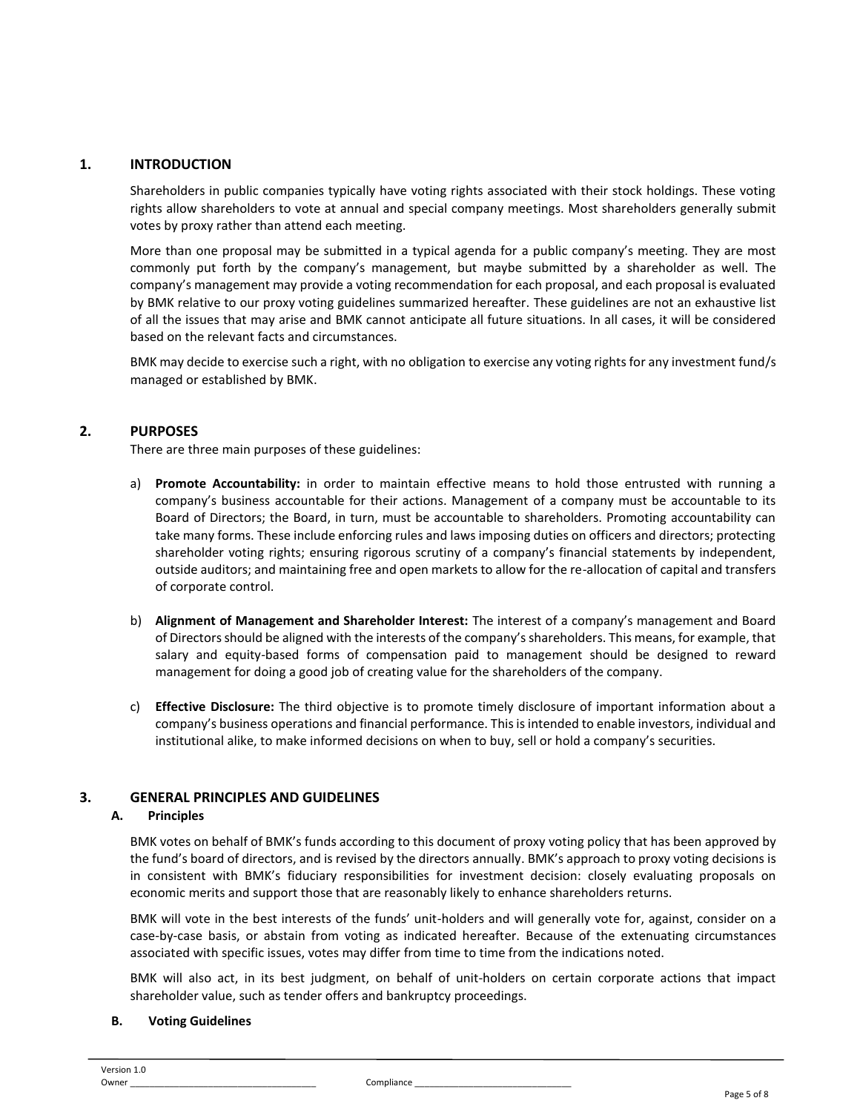### **1. INTRODUCTION**

Shareholders in public companies typically have voting rights associated with their stock holdings. These voting rights allow shareholders to vote at annual and special company meetings. Most shareholders generally submit votes by proxy rather than attend each meeting.

More than one proposal may be submitted in a typical agenda for a public company's meeting. They are most commonly put forth by the company's management, but maybe submitted by a shareholder as well. The company's management may provide a voting recommendation for each proposal, and each proposal is evaluated by BMK relative to our proxy voting guidelines summarized hereafter. These guidelines are not an exhaustive list of all the issues that may arise and BMK cannot anticipate all future situations. In all cases, it will be considered based on the relevant facts and circumstances.

BMK may decide to exercise such a right, with no obligation to exercise any voting rights for any investment fund/s managed or established by BMK.

### **2. PURPOSES**

There are three main purposes of these guidelines:

- a) **Promote Accountability:** in order to maintain effective means to hold those entrusted with running a company's business accountable for their actions. Management of a company must be accountable to its Board of Directors; the Board, in turn, must be accountable to shareholders. Promoting accountability can take many forms. These include enforcing rules and laws imposing duties on officers and directors; protecting shareholder voting rights; ensuring rigorous scrutiny of a company's financial statements by independent, outside auditors; and maintaining free and open markets to allow for the re-allocation of capital and transfers of corporate control.
- b) **Alignment of Management and Shareholder Interest:** The interest of a company's management and Board of Directors should be aligned with the interests of the company's shareholders. This means, for example, that salary and equity-based forms of compensation paid to management should be designed to reward management for doing a good job of creating value for the shareholders of the company.
- c) **Effective Disclosure:** The third objective is to promote timely disclosure of important information about a company's business operations and financial performance. This is intended to enable investors, individual and institutional alike, to make informed decisions on when to buy, sell or hold a company's securities.

# **3. GENERAL PRINCIPLES AND GUIDELINES**

#### **A. Principles**

BMK votes on behalf of BMK's funds according to this document of proxy voting policy that has been approved by the fund's board of directors, and is revised by the directors annually. BMK's approach to proxy voting decisions is in consistent with BMK's fiduciary responsibilities for investment decision: closely evaluating proposals on economic merits and support those that are reasonably likely to enhance shareholders returns.

BMK will vote in the best interests of the funds' unit-holders and will generally vote for, against, consider on a case-by-case basis, or abstain from voting as indicated hereafter. Because of the extenuating circumstances associated with specific issues, votes may differ from time to time from the indications noted.

BMK will also act, in its best judgment, on behalf of unit-holders on certain corporate actions that impact shareholder value, such as tender offers and bankruptcy proceedings.

### **B. Voting Guidelines**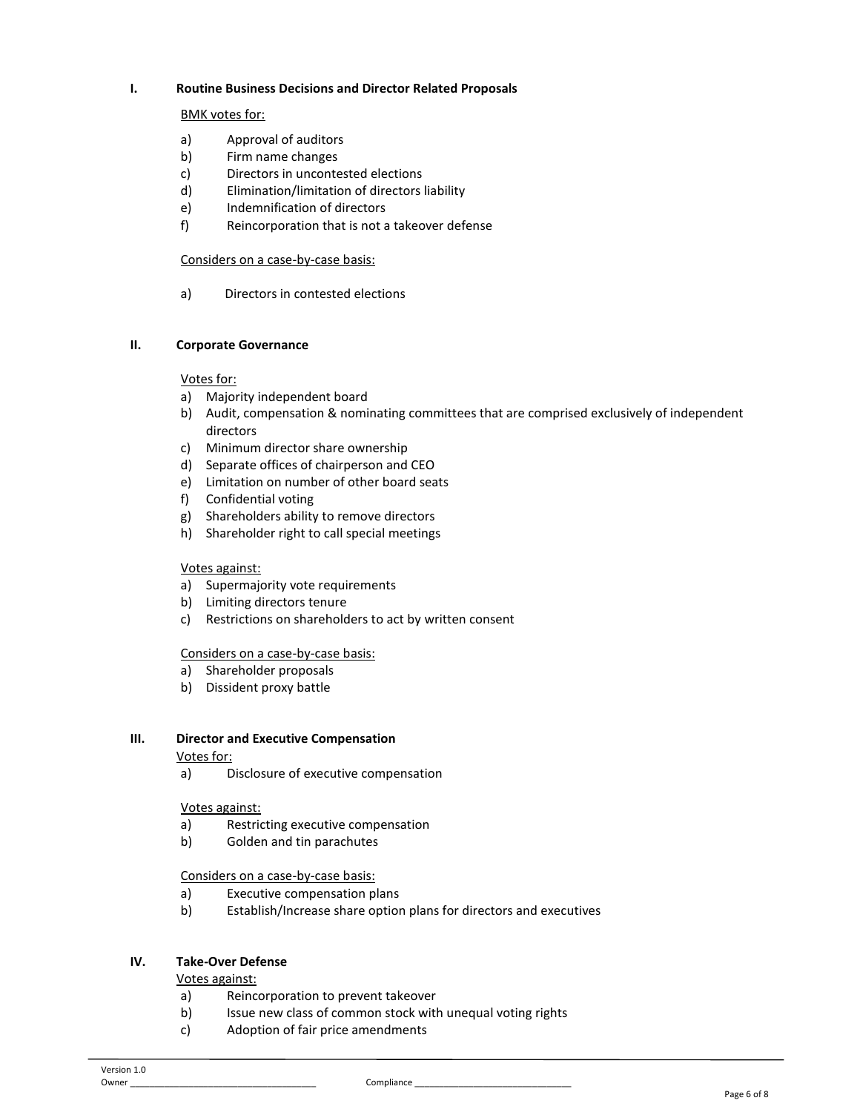#### **I. Routine Business Decisions and Director Related Proposals**

#### BMK votes for:

- a) Approval of auditors
- b) Firm name changes
- c) Directors in uncontested elections
- d) Elimination/limitation of directors liability
- e) Indemnification of directors
- f) Reincorporation that is not a takeover defense

#### Considers on a case-by-case basis:

a) Directors in contested elections

#### **II. Corporate Governance**

#### Votes for:

- a) Majority independent board
- b) Audit, compensation & nominating committees that are comprised exclusively of independent directors
- c) Minimum director share ownership
- d) Separate offices of chairperson and CEO
- e) Limitation on number of other board seats
- f) Confidential voting
- g) Shareholders ability to remove directors
- h) Shareholder right to call special meetings

#### Votes against:

- a) Supermajority vote requirements
- b) Limiting directors tenure
- c) Restrictions on shareholders to act by written consent

#### Considers on a case-by-case basis:

- a) Shareholder proposals
- b) Dissident proxy battle

# **III. Director and Executive Compensation**

#### Votes for:

a) Disclosure of executive compensation

#### Votes against:

- a) Restricting executive compensation
- b) Golden and tin parachutes

#### Considers on a case-by-case basis:

- a) Executive compensation plans
- b) Establish/Increase share option plans for directors and executives

# **IV. Take-Over Defense**

Votes against:

- a) Reincorporation to prevent takeover
- b) Issue new class of common stock with unequal voting rights
- c) Adoption of fair price amendments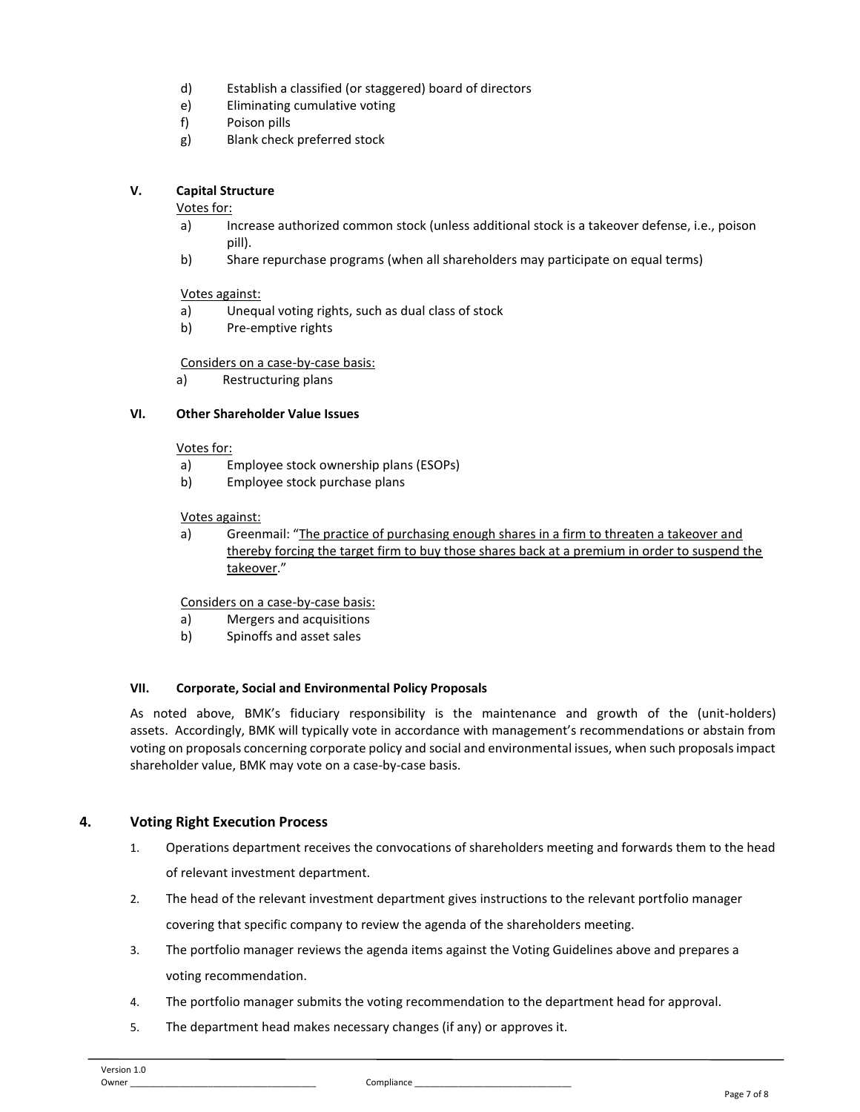- d) Establish a classified (or staggered) board of directors
- e) Eliminating cumulative voting
- f) Poison pills
- g) Blank check preferred stock

### **V. Capital Structure**

#### Votes for:

- a) Increase authorized common stock (unless additional stock is a takeover defense, i.e., poison pill).
- b) Share repurchase programs (when all shareholders may participate on equal terms)

#### Votes against:

- a) Unequal voting rights, such as dual class of stock
- b) Pre-emptive rights

#### Considers on a case-by-case basis:

a) Restructuring plans

### **VI. Other Shareholder Value Issues**

#### Votes for:

- a) Employee stock ownership plans (ESOPs)
- b) Employee stock purchase plans

#### Votes against:

a) Greenmail: "The practice of purchasing enough shares in a firm to threaten a takeover and thereby forcing the target firm to buy those shares back at a premium in order to suspend the takeover."

# Considers on a case-by-case basis:

- a) Mergers and acquisitions
- b) Spinoffs and asset sales

#### **VII. Corporate, Social and Environmental Policy Proposals**

As noted above, BMK's fiduciary responsibility is the maintenance and growth of the (unit-holders) assets. Accordingly, BMK will typically vote in accordance with management's recommendations or abstain from voting on proposals concerning corporate policy and social and environmental issues, when such proposals impact shareholder value, BMK may vote on a case-by-case basis.

# **4. Voting Right Execution Process**

- 1. Operations department receives the convocations of shareholders meeting and forwards them to the head of relevant investment department.
- 2. The head of the relevant investment department gives instructions to the relevant portfolio manager covering that specific company to review the agenda of the shareholders meeting.
- 3. The portfolio manager reviews the agenda items against the Voting Guidelines above and prepares a voting recommendation.
- 4. The portfolio manager submits the voting recommendation to the department head for approval.
- 5. The department head makes necessary changes (if any) or approves it.